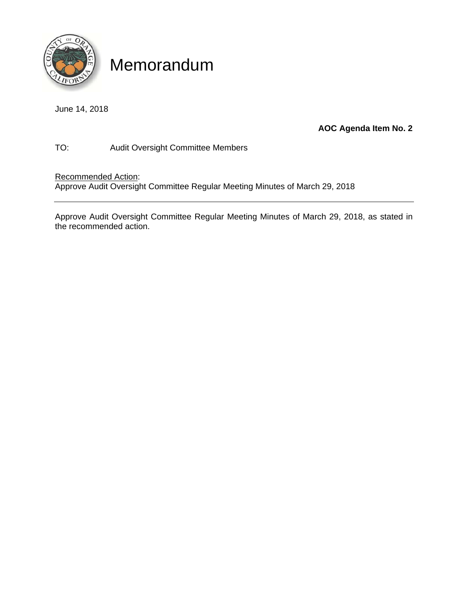

# Memorandum

June 14, 2018

### **AOC Agenda Item No. 2**

TO: Audit Oversight Committee Members

Recommended Action:

Approve Audit Oversight Committee Regular Meeting Minutes of March 29, 2018

Approve Audit Oversight Committee Regular Meeting Minutes of March 29, 2018, as stated in the recommended action.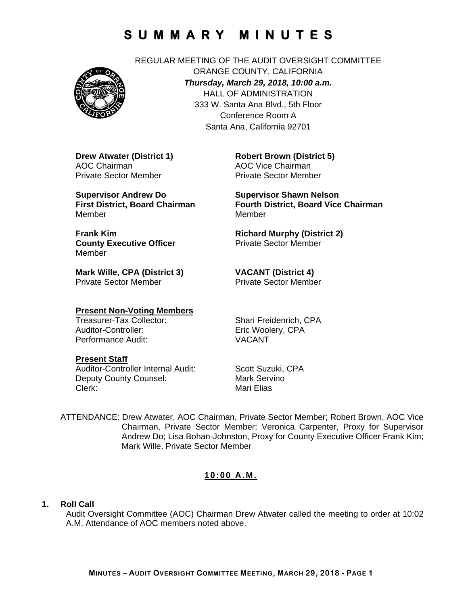

REGULAR MEETING OF THE AUDIT OVERSIGHT COMMITTEE ORANGE COUNTY, CALIFORNIA *Thursday, March 29, 2018, 10:00 a.m.*  HALL OF ADMINISTRATION 333 W. Santa Ana Blvd., 5th Floor Conference Room A Santa Ana, California 92701

**Drew Atwater (District 1)**  AOC Chairman Private Sector Member

**Supervisor Andrew Do First District, Board Chairman**  Member

**Robert Brown (District 5)**  AOC Vice Chairman Private Sector Member

**Supervisor Shawn Nelson Fourth District, Board Vice Chairman**  Member

**Richard Murphy (District 2)**  Private Sector Member

**Mark Wille, CPA (District 3)**  Private Sector Member

**County Executive Officer** 

**VACANT (District 4)**  Private Sector Member

#### **Present Non-Voting Members**

Auditor-Controller: Eric Woolery, CPA Performance Audit: VACANT

Treasurer-Tax Collector: Shari Freidenrich, CPA

#### **Present Staff**

**Frank Kim** 

Member

Auditor-Controller Internal Audit: Scott Suzuki, CPA Deputy County Counsel: Mark Servino Clerk: Mari Elias

ATTENDANCE: Drew Atwater, AOC Chairman, Private Sector Member; Robert Brown, AOC Vice Chairman, Private Sector Member; Veronica Carpenter, Proxy for Supervisor Andrew Do; Lisa Bohan-Johnston, Proxy for County Executive Officer Frank Kim; Mark Wille, Private Sector Member

#### **10:00 A.M.**

#### **1. Roll Call**

Audit Oversight Committee (AOC) Chairman Drew Atwater called the meeting to order at 10:02 A.M. Attendance of AOC members noted above.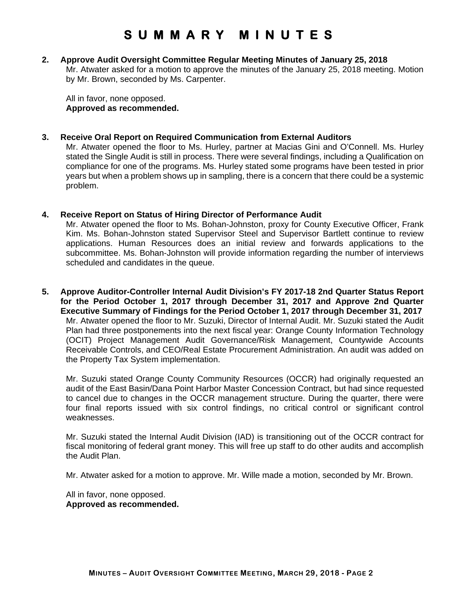#### **2. Approve Audit Oversight Committee Regular Meeting Minutes of January 25, 2018**

Mr. Atwater asked for a motion to approve the minutes of the January 25, 2018 meeting. Motion by Mr. Brown, seconded by Ms. Carpenter.

All in favor, none opposed. **Approved as recommended.** 

#### **3. Receive Oral Report on Required Communication from External Auditors**

Mr. Atwater opened the floor to Ms. Hurley, partner at Macias Gini and O'Connell. Ms. Hurley stated the Single Audit is still in process. There were several findings, including a Qualification on compliance for one of the programs. Ms. Hurley stated some programs have been tested in prior years but when a problem shows up in sampling, there is a concern that there could be a systemic problem.

#### **4. Receive Report on Status of Hiring Director of Performance Audit**

Mr. Atwater opened the floor to Ms. Bohan-Johnston, proxy for County Executive Officer, Frank Kim. Ms. Bohan-Johnston stated Supervisor Steel and Supervisor Bartlett continue to review applications. Human Resources does an initial review and forwards applications to the subcommittee. Ms. Bohan-Johnston will provide information regarding the number of interviews scheduled and candidates in the queue.

**5. Approve Auditor-Controller Internal Audit Division's FY 2017-18 2nd Quarter Status Report for the Period October 1, 2017 through December 31, 2017 and Approve 2nd Quarter Executive Summary of Findings for the Period October 1, 2017 through December 31, 2017**  Mr. Atwater opened the floor to Mr. Suzuki, Director of Internal Audit. Mr. Suzuki stated the Audit Plan had three postponements into the next fiscal year: Orange County Information Technology (OCIT) Project Management Audit Governance/Risk Management, Countywide Accounts Receivable Controls, and CEO/Real Estate Procurement Administration. An audit was added on the Property Tax System implementation.

Mr. Suzuki stated Orange County Community Resources (OCCR) had originally requested an audit of the East Basin/Dana Point Harbor Master Concession Contract, but had since requested to cancel due to changes in the OCCR management structure. During the quarter, there were four final reports issued with six control findings, no critical control or significant control weaknesses.

Mr. Suzuki stated the Internal Audit Division (IAD) is transitioning out of the OCCR contract for fiscal monitoring of federal grant money. This will free up staff to do other audits and accomplish the Audit Plan.

Mr. Atwater asked for a motion to approve. Mr. Wille made a motion, seconded by Mr. Brown.

All in favor, none opposed. **Approved as recommended.**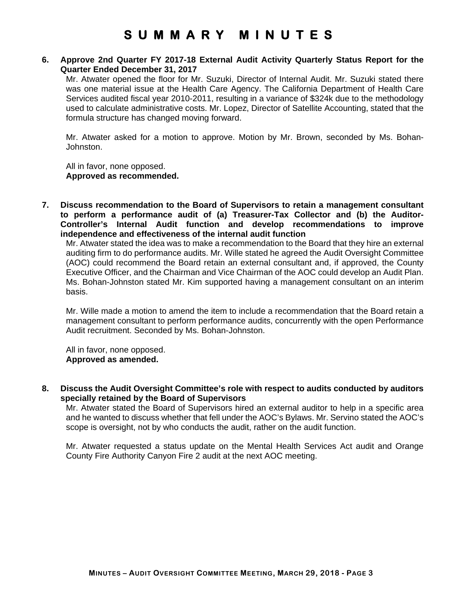#### **6. Approve 2nd Quarter FY 2017-18 External Audit Activity Quarterly Status Report for the Quarter Ended December 31, 2017**

Mr. Atwater opened the floor for Mr. Suzuki, Director of Internal Audit. Mr. Suzuki stated there was one material issue at the Health Care Agency. The California Department of Health Care Services audited fiscal year 2010-2011, resulting in a variance of \$324k due to the methodology used to calculate administrative costs. Mr. Lopez, Director of Satellite Accounting, stated that the formula structure has changed moving forward.

Mr. Atwater asked for a motion to approve. Motion by Mr. Brown, seconded by Ms. Bohan-Johnston.

All in favor, none opposed. **Approved as recommended.** 

**7. Discuss recommendation to the Board of Supervisors to retain a management consultant to perform a performance audit of (a) Treasurer-Tax Collector and (b) the Auditor-Controller's Internal Audit function and develop recommendations to improve independence and effectiveness of the internal audit function**

Mr. Atwater stated the idea was to make a recommendation to the Board that they hire an external auditing firm to do performance audits. Mr. Wille stated he agreed the Audit Oversight Committee (AOC) could recommend the Board retain an external consultant and, if approved, the County Executive Officer, and the Chairman and Vice Chairman of the AOC could develop an Audit Plan. Ms. Bohan-Johnston stated Mr. Kim supported having a management consultant on an interim basis.

Mr. Wille made a motion to amend the item to include a recommendation that the Board retain a management consultant to perform performance audits, concurrently with the open Performance Audit recruitment. Seconded by Ms. Bohan-Johnston.

All in favor, none opposed. **Approved as amended.**

**8. Discuss the Audit Oversight Committee's role with respect to audits conducted by auditors specially retained by the Board of Supervisors** 

Mr. Atwater stated the Board of Supervisors hired an external auditor to help in a specific area and he wanted to discuss whether that fell under the AOC's Bylaws. Mr. Servino stated the AOC's scope is oversight, not by who conducts the audit, rather on the audit function.

Mr. Atwater requested a status update on the Mental Health Services Act audit and Orange County Fire Authority Canyon Fire 2 audit at the next AOC meeting.